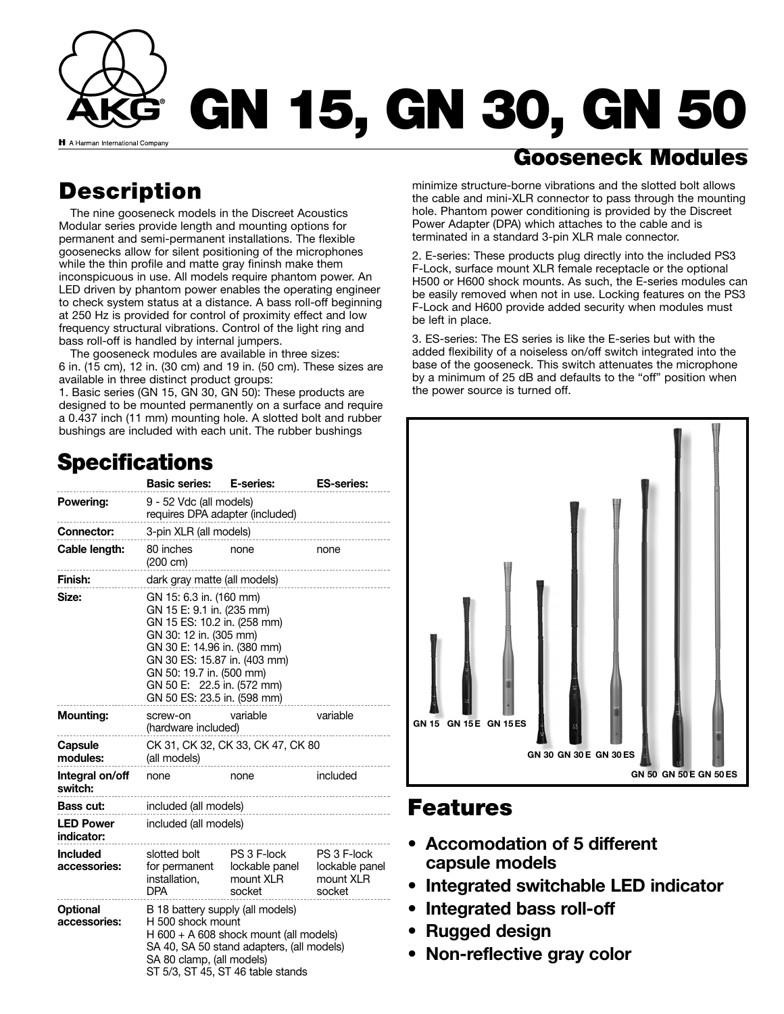

# **Description**

The nine gooseneck models in the Discreet Acoustics Modular series provide length and mounting options for permanent and semi-permanent installations. The flexible goosenecks allow for silent positioning of the microphones while the thin profile and matte gray fininsh make them inconspicuous in use. All models require phantom power. An LED driven by phantom power enables the operating engineer to check system status at a distance. A bass roll-off beginning at 250 Hz is provided for control of proximity effect and low frequency structural vibrations. Control of the light ring and bass roll-off is handled by internal jumpers.

The gooseneck modules are available in three sizes: 6 in. (15 cm), 12 in. (30 cm) and 19 in. (50 cm). These sizes are available in three distinct product groups:

1. Basic series (GN 15, GN 30, GN 50): These products are designed to be mounted permanently on a surface and require a 0.437 inch (11 mm) mounting hole. A slotted bolt and rubber bushings are included with each unit. The rubber bushings

# **Specifications**

|                                 | <b>Basic series:</b>                                                                                                                                                                                                                                                  | E-series:                                            | <b>ES-series:</b>                                    |
|---------------------------------|-----------------------------------------------------------------------------------------------------------------------------------------------------------------------------------------------------------------------------------------------------------------------|------------------------------------------------------|------------------------------------------------------|
| Powering:                       | 9 - 52 Vdc (all models)<br>requires DPA adapter (included)                                                                                                                                                                                                            |                                                      |                                                      |
| <b>Connector:</b>               | 3-pin XLR (all models)                                                                                                                                                                                                                                                |                                                      |                                                      |
| Cable length:                   | 80 inches<br>$(200 \text{ cm})$                                                                                                                                                                                                                                       | none                                                 | none                                                 |
| Finish:                         | dark gray matte (all models)                                                                                                                                                                                                                                          |                                                      |                                                      |
| Size:                           | GN 15: 6.3 in. (160 mm)<br>GN 15 E: 9.1 in. (235 mm)<br>GN 15 ES: 10.2 in. (258 mm)<br>GN 30: 12 in. (305 mm)<br>GN 30 E: 14.96 in. (380 mm)<br>GN 30 ES: 15.87 in. (403 mm)<br>GN 50: 19.7 in. (500 mm)<br>GN 50 E: 22.5 in. (572 mm)<br>GN 50 ES: 23.5 in. (598 mm) |                                                      |                                                      |
| <b>Mounting:</b>                | screw-on<br>(hardware included)                                                                                                                                                                                                                                       | variable                                             | variable                                             |
| Capsule<br>modules:             | CK 31, CK 32, CK 33, CK 47, CK 80<br>(all models)                                                                                                                                                                                                                     |                                                      |                                                      |
| Integral on/off<br>switch:      | none                                                                                                                                                                                                                                                                  | none                                                 | included                                             |
| Bass cut:                       | included (all models)                                                                                                                                                                                                                                                 |                                                      |                                                      |
| <b>LED Power</b><br>indicator:  | included (all models)                                                                                                                                                                                                                                                 |                                                      |                                                      |
| <b>Included</b><br>accessories: | slotted bolt<br>for permanent<br>installation,<br><b>DPA</b>                                                                                                                                                                                                          | PS 3 F-lock<br>lockable panel<br>mount XLR<br>socket | PS 3 F-lock<br>lockable panel<br>mount XLR<br>socket |
| <b>Optional</b><br>accessories: | B 18 battery supply (all models)<br>H 500 shock mount<br>H $600 + A$ 608 shock mount (all models)<br>SA 40, SA 50 stand adapters, (all models)<br>SA 80 clamp, (all models)<br>ST 5/3, ST 45, ST 46 table stands                                                      |                                                      |                                                      |

## **Gooseneck Modules**

minimize structure-borne vibrations and the slotted bolt allows the cable and mini-XLR connector to pass through the mounting hole. Phantom power conditioning is provided by the Discreet Power Adapter (DPA) which attaches to the cable and is terminated in a standard 3-pin XLR male connector.

2. E-series: These products plug directly into the included PS3 F-Lock, surface mount XLR female receptacle or the optional H500 or H600 shock mounts. As such, the E-series modules can be easily removed when not in use. Locking features on the PS3 F-Lock and H600 provide added security when modules must be left in place.

3. ES-series: The ES series is like the E-series but with the added flexibility of a noiseless on/off switch integrated into the base of the gooseneck. This switch attenuates the microphone by a minimum of 25 dB and defaults to the "off" position when the power source is turned off.



### **Features**

- **Accomodation of 5 different capsule models**
- **Integrated switchable LED indicator**
- **Integrated bass roll-off**
- **Rugged design**
- **Non-reflective gray color**